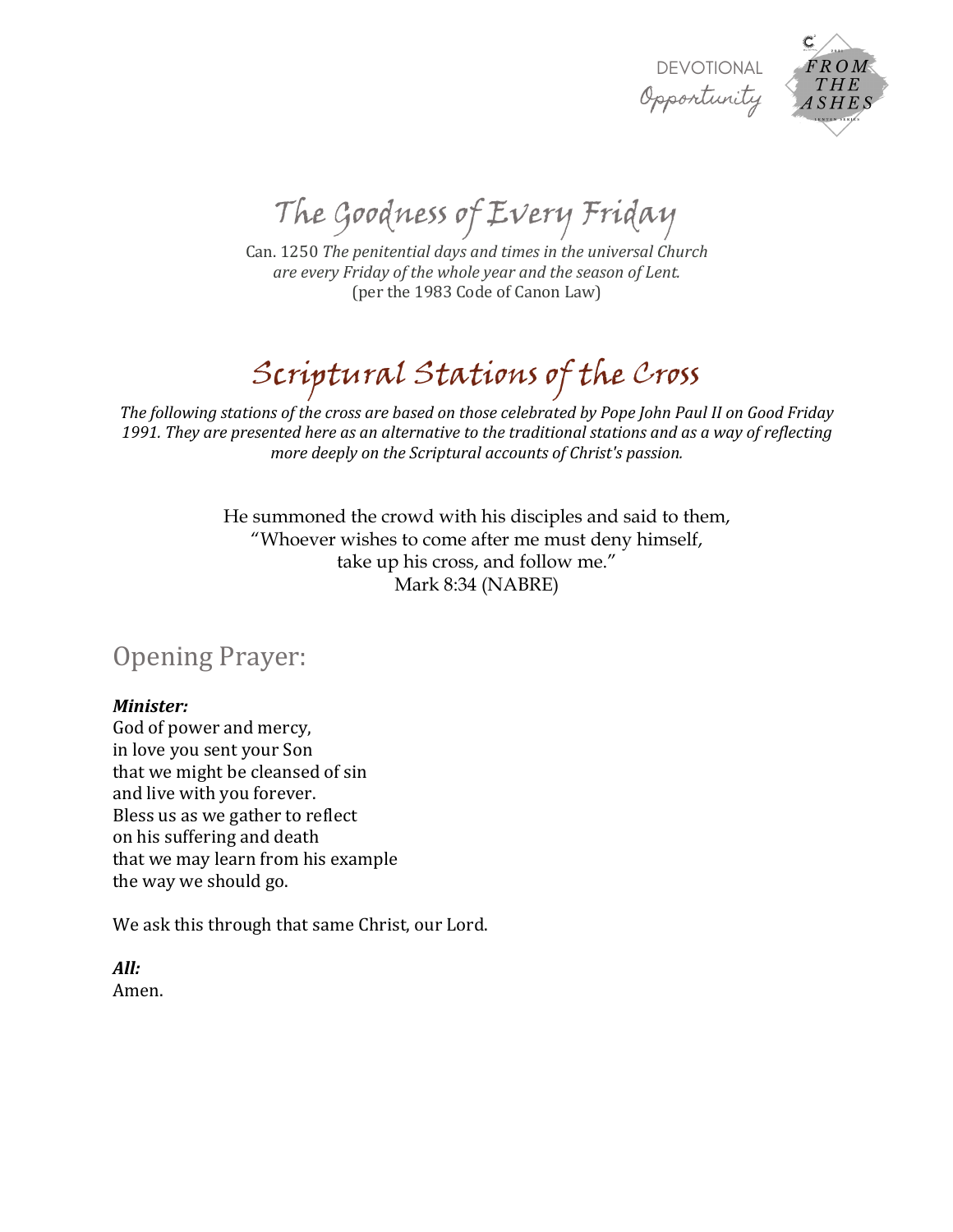



The Goodness of Every Friday

Can. 1250 *The penitential days and times in the universal Church are every Friday of the whole year and the season of Lent.* (per the 1983 Code of Canon Law)

# Scriptural Stations of the Cross

The following stations of the cross are based on those celebrated by Pope John Paul II on Good Friday 1991. They are presented here as an alternative to the traditional stations and as a way of reflecting *more deeply on the Scriptural accounts of Christ's passion.* 

> He summoned the crowd with his disciples and said to them, "Whoever wishes to come after me must deny himself, take up his cross, and follow me." Mark 8:34 (NABRE)

Opening Prayer:

#### *Minister:*

God of power and mercy, in love you sent your Son that we might be cleansed of sin and live with you forever. Bless us as we gather to reflect on his suffering and death that we may learn from his example the way we should go.

We ask this through that same Christ, our Lord.

*All:* Amen.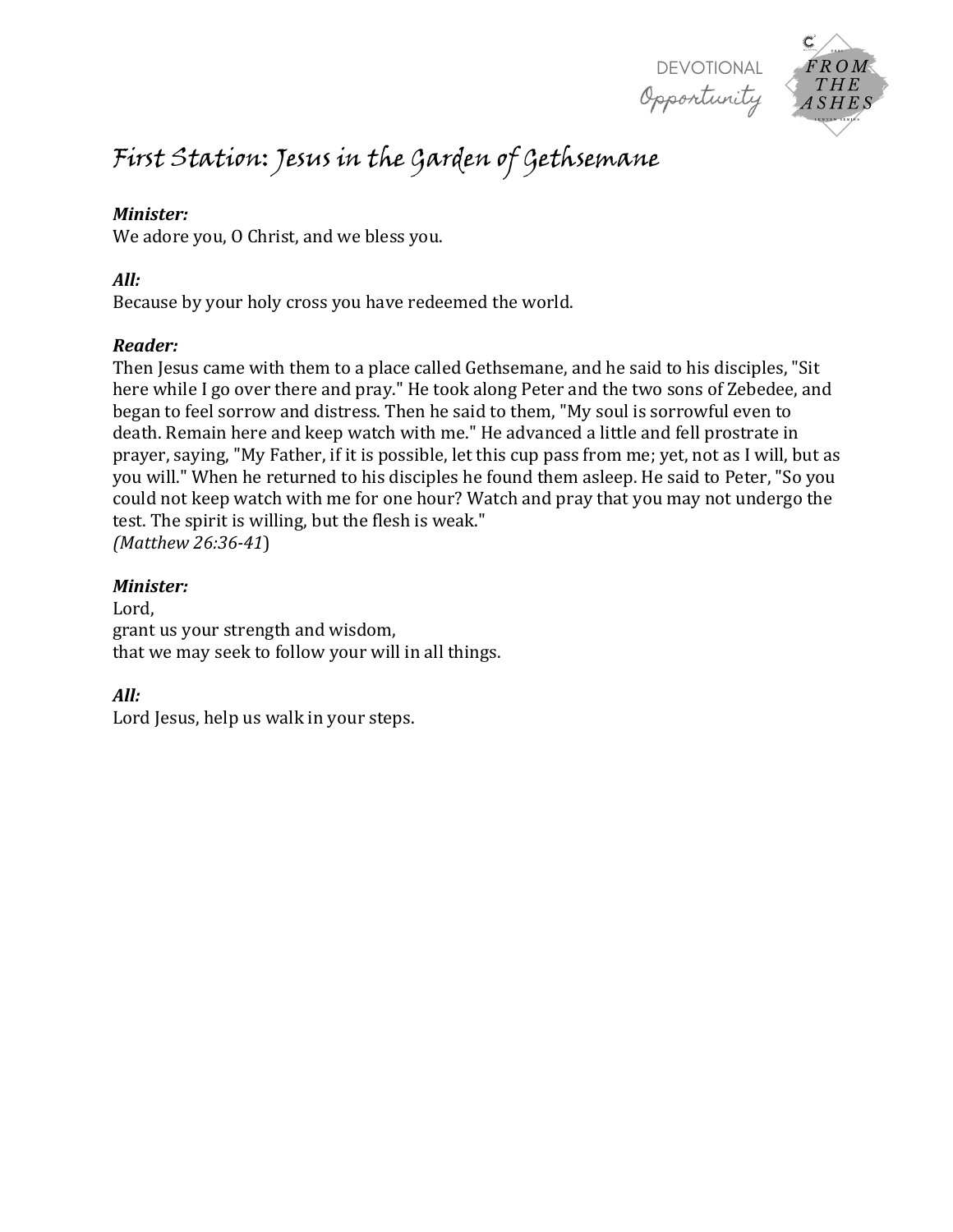



# First Station: Jesus in the Garden of Gethsemane

#### *Minister:*

We adore you, O Christ, and we bless you.

#### *All:*

Because by your holy cross you have redeemed the world.

#### *Reader:*

Then Jesus came with them to a place called Gethsemane, and he said to his disciples, "Sit here while I go over there and pray." He took along Peter and the two sons of Zebedee, and began to feel sorrow and distress. Then he said to them, "My soul is sorrowful even to death. Remain here and keep watch with me." He advanced a little and fell prostrate in prayer, saying, "My Father, if it is possible, let this cup pass from me; yet, not as I will, but as you will." When he returned to his disciples he found them asleep. He said to Peter, "So you could not keep watch with me for one hour? Watch and pray that you may not undergo the test. The spirit is willing, but the flesh is weak." *(Matthew 26:36-41*)

#### *Minister:*

Lord, grant us your strength and wisdom, that we may seek to follow your will in all things.

# *All:*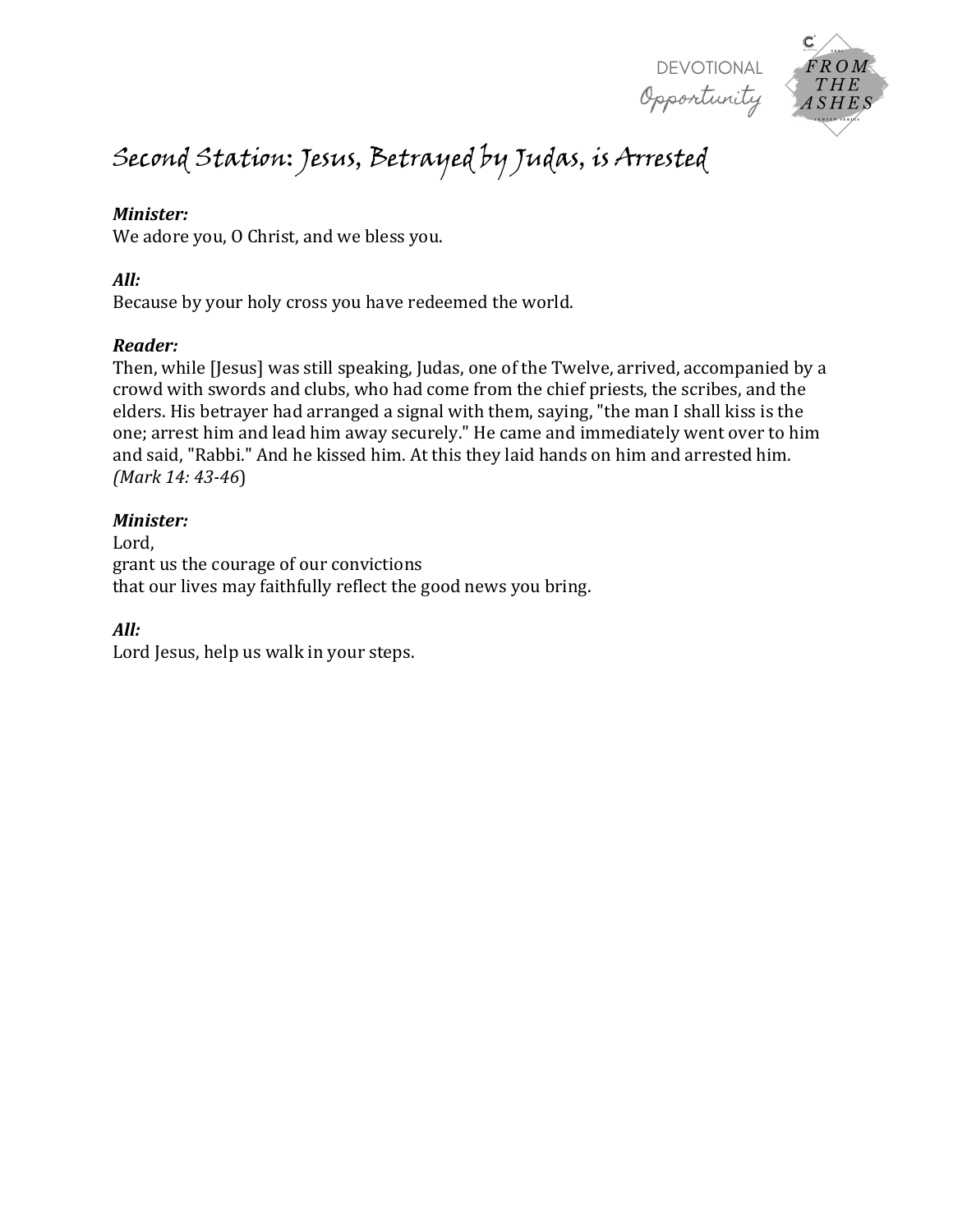

# Second Station: Jesus, Betrayed by Judas, is Arrested

#### *Minister:*

We adore you, O Christ, and we bless you.

#### *All:*

Because by your holy cross you have redeemed the world.

#### *Reader:*

Then, while [Jesus] was still speaking, Judas, one of the Twelve, arrived, accompanied by a crowd with swords and clubs, who had come from the chief priests, the scribes, and the elders. His betrayer had arranged a signal with them, saying, "the man I shall kiss is the one; arrest him and lead him away securely." He came and immediately went over to him and said, "Rabbi." And he kissed him. At this they laid hands on him and arrested him. *(Mark 14: 43-46*)

#### *Minister:*

Lord, grant us the courage of our convictions that our lives may faithfully reflect the good news you bring.

# *All:*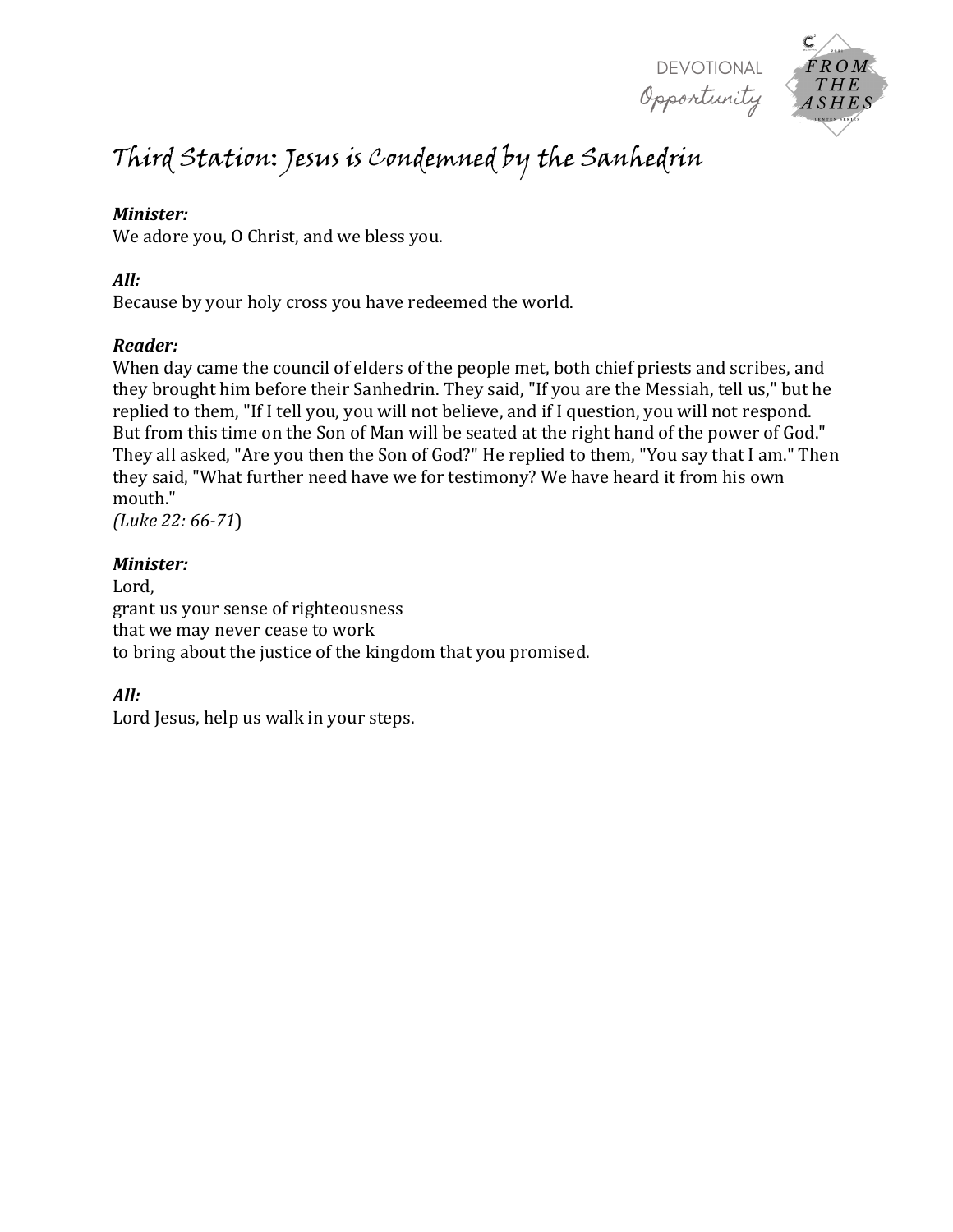DEVOTIONAL Opportunity



# Third Station: Jesus is Condemned by the Sanhedrin

# *Minister:*

We adore you, O Christ, and we bless you.

# *All:*

Because by your holy cross you have redeemed the world.

# *Reader:*

When day came the council of elders of the people met, both chief priests and scribes, and they brought him before their Sanhedrin. They said, "If you are the Messiah, tell us," but he replied to them, "If I tell you, you will not believe, and if I question, you will not respond. But from this time on the Son of Man will be seated at the right hand of the power of God." They all asked, "Are you then the Son of God?" He replied to them, "You say that I am." Then they said, "What further need have we for testimony? We have heard it from his own mouth."

*(Luke 22: 66-71*)

# *Minister:*

Lord, grant us your sense of righteousness that we may never cease to work to bring about the justice of the kingdom that you promised.

# *All:*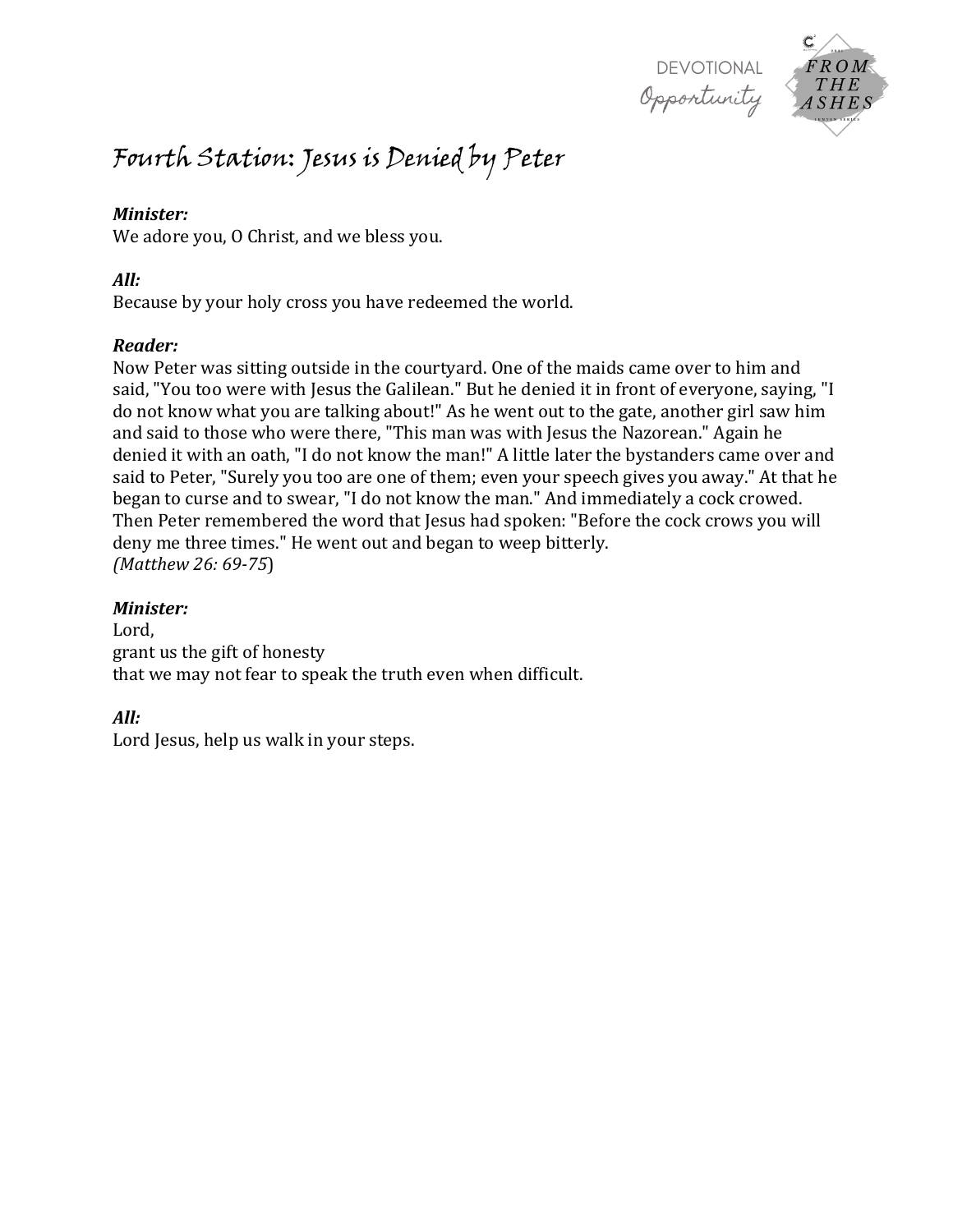

# Fourth Station: Jesus is Denied by Peter

#### *Minister:*

We adore you, O Christ, and we bless you.

#### *All:*

Because by your holy cross you have redeemed the world.

# *Reader:*

Now Peter was sitting outside in the courtyard. One of the maids came over to him and said, "You too were with Jesus the Galilean." But he denied it in front of everyone, saying, "I do not know what you are talking about!" As he went out to the gate, another girl saw him and said to those who were there, "This man was with Jesus the Nazorean." Again he denied it with an oath, "I do not know the man!" A little later the bystanders came over and said to Peter, "Surely you too are one of them; even your speech gives you away." At that he began to curse and to swear, "I do not know the man." And immediately a cock crowed. Then Peter remembered the word that Jesus had spoken: "Before the cock crows you will deny me three times." He went out and began to weep bitterly. *(Matthew 26: 69-75*)

# *Minister:*

Lord, grant us the gift of honesty that we may not fear to speak the truth even when difficult.

# *All:*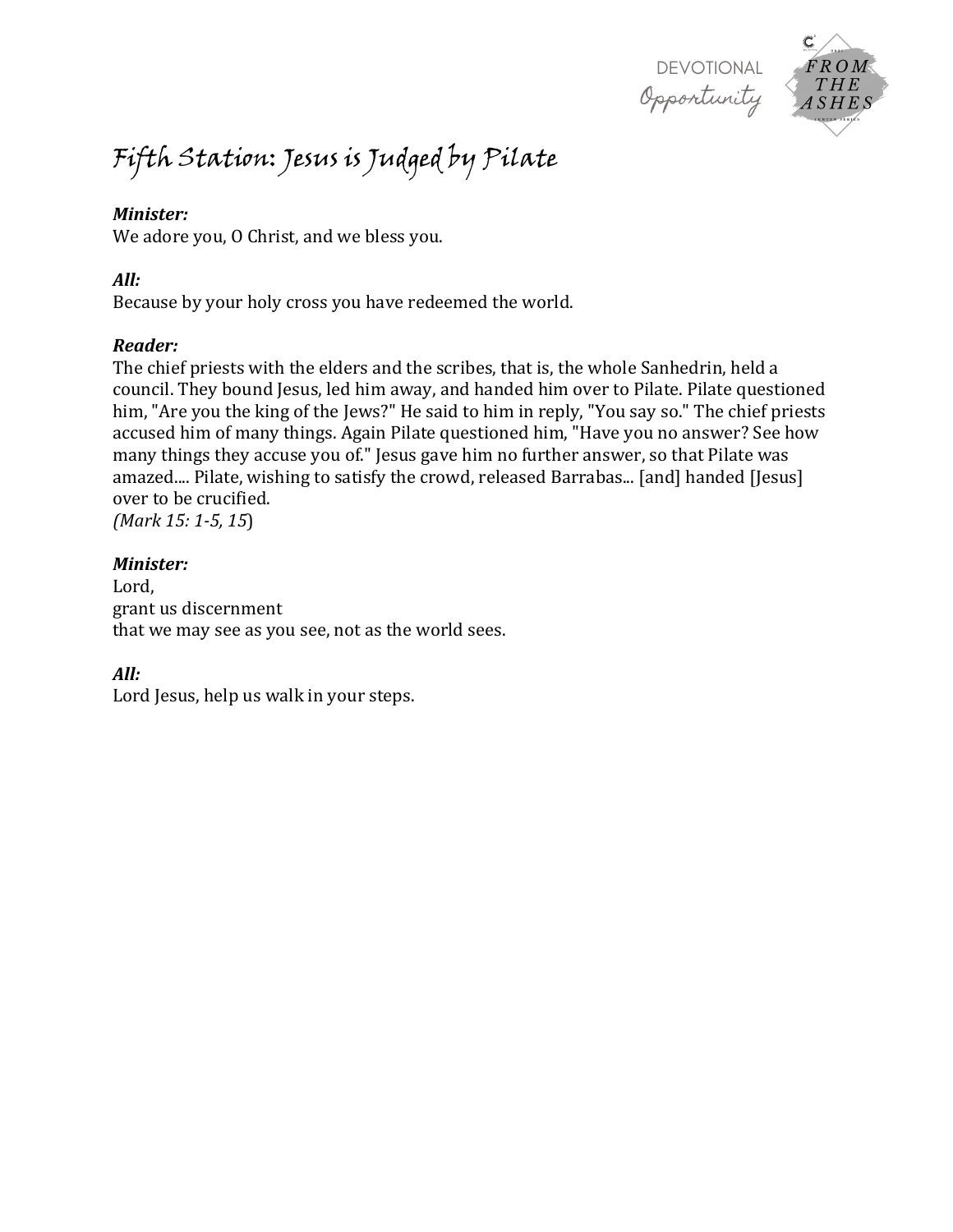

# Fifth Station: Jesus is Judged by Pilate

#### *Minister:*

We adore you, O Christ, and we bless you.

#### *All:*

Because by your holy cross you have redeemed the world.

#### *Reader:*

The chief priests with the elders and the scribes, that is, the whole Sanhedrin, held a council. They bound Jesus, led him away, and handed him over to Pilate. Pilate questioned him, "Are you the king of the Jews?" He said to him in reply, "You say so." The chief priests accused him of many things. Again Pilate questioned him, "Have you no answer? See how many things they accuse you of." Jesus gave him no further answer, so that Pilate was amazed.... Pilate, wishing to satisfy the crowd, released Barrabas... [and] handed [Jesus] over to be crucified.

*(Mark 15: 1-5, 15*)

#### *Minister:*

Lord, grant us discernment that we may see as you see, not as the world sees.

# *All:*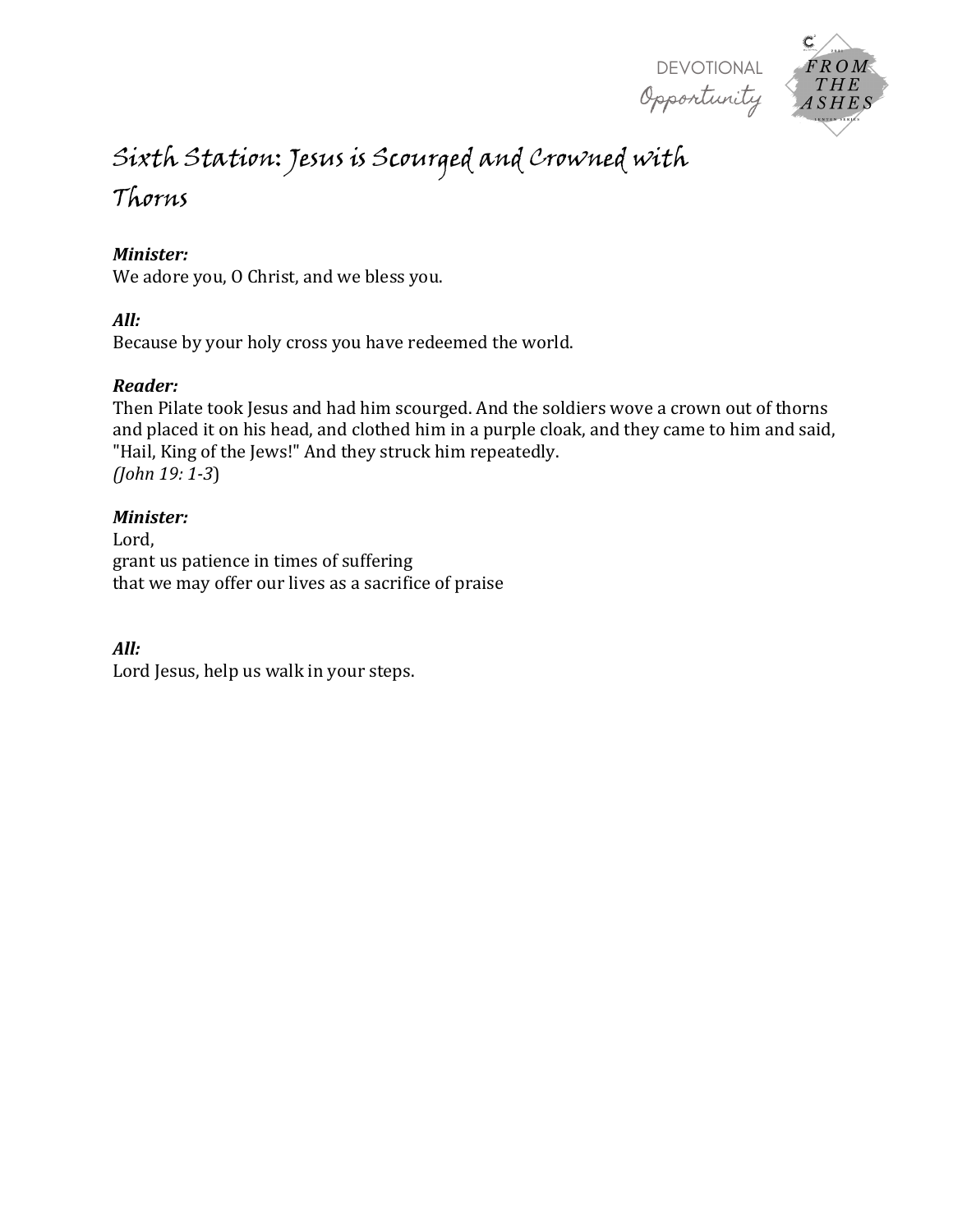

# $ROM$ ASHES

# Sixth Station: Jesus is Scourged and Crowned with

# Thorns

# *Minister:*

We adore you, O Christ, and we bless you.

# *All:*

Because by your holy cross you have redeemed the world.

# *Reader:*

Then Pilate took Jesus and had him scourged. And the soldiers wove a crown out of thorns and placed it on his head, and clothed him in a purple cloak, and they came to him and said, "Hail, King of the Jews!" And they struck him repeatedly. *(John 19: 1-3*)

# *Minister:*

Lord, grant us patience in times of suffering that we may offer our lives as a sacrifice of praise

# *All:*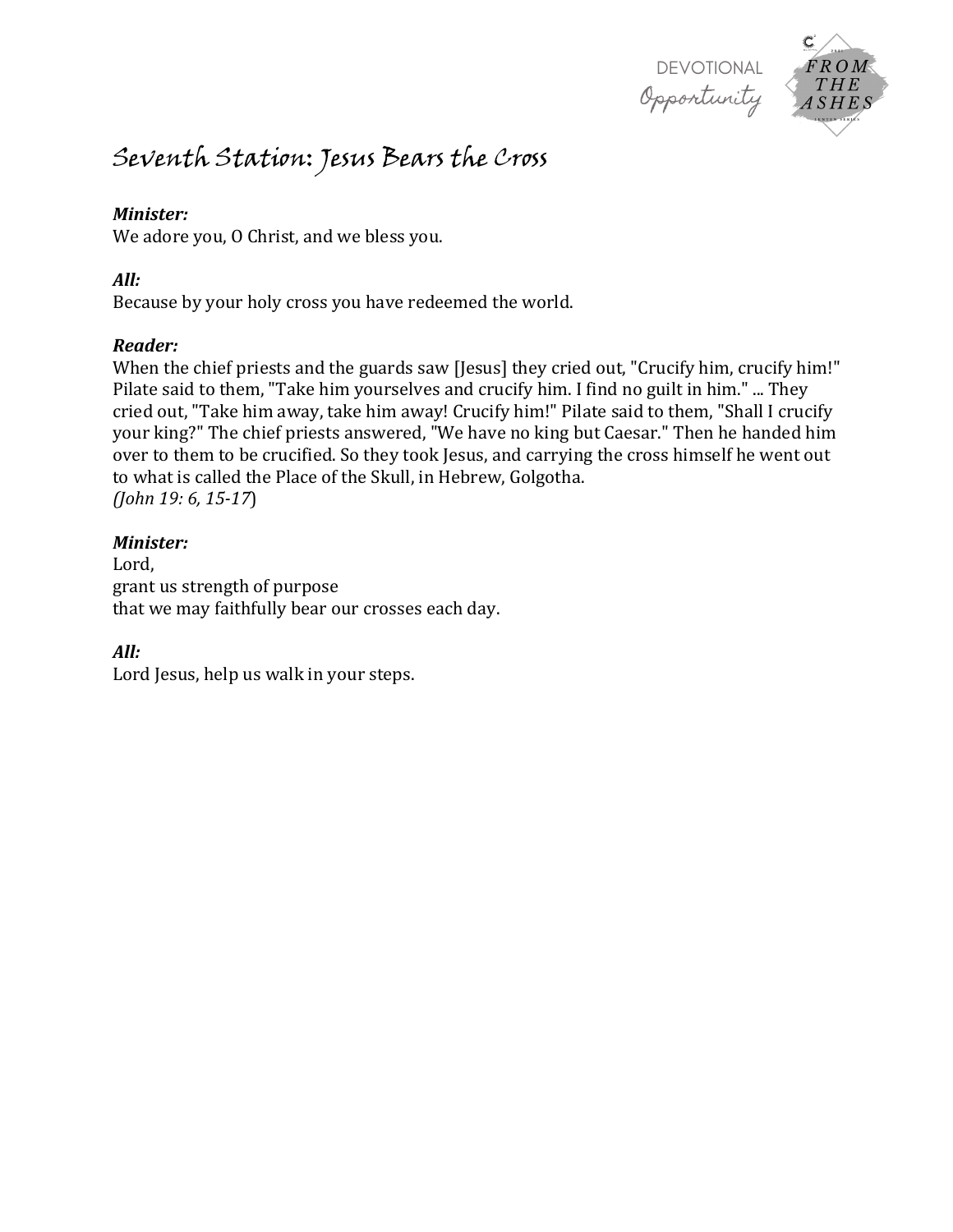

# Seventh Station: Jesus Bears the Cross

#### *Minister:*

We adore you, O Christ, and we bless you.

#### *All:*

Because by your holy cross you have redeemed the world.

# *Reader:*

When the chief priests and the guards saw [Jesus] they cried out, "Crucify him, crucify him!" Pilate said to them, "Take him yourselves and crucify him. I find no guilt in him." ... They cried out, "Take him away, take him away! Crucify him!" Pilate said to them, "Shall I crucify your king?" The chief priests answered, "We have no king but Caesar." Then he handed him over to them to be crucified. So they took Jesus, and carrying the cross himself he went out to what is called the Place of the Skull, in Hebrew, Golgotha. *(John 19: 6, 15-17*)

# *Minister:*

Lord, grant us strength of purpose that we may faithfully bear our crosses each day.

# *All:*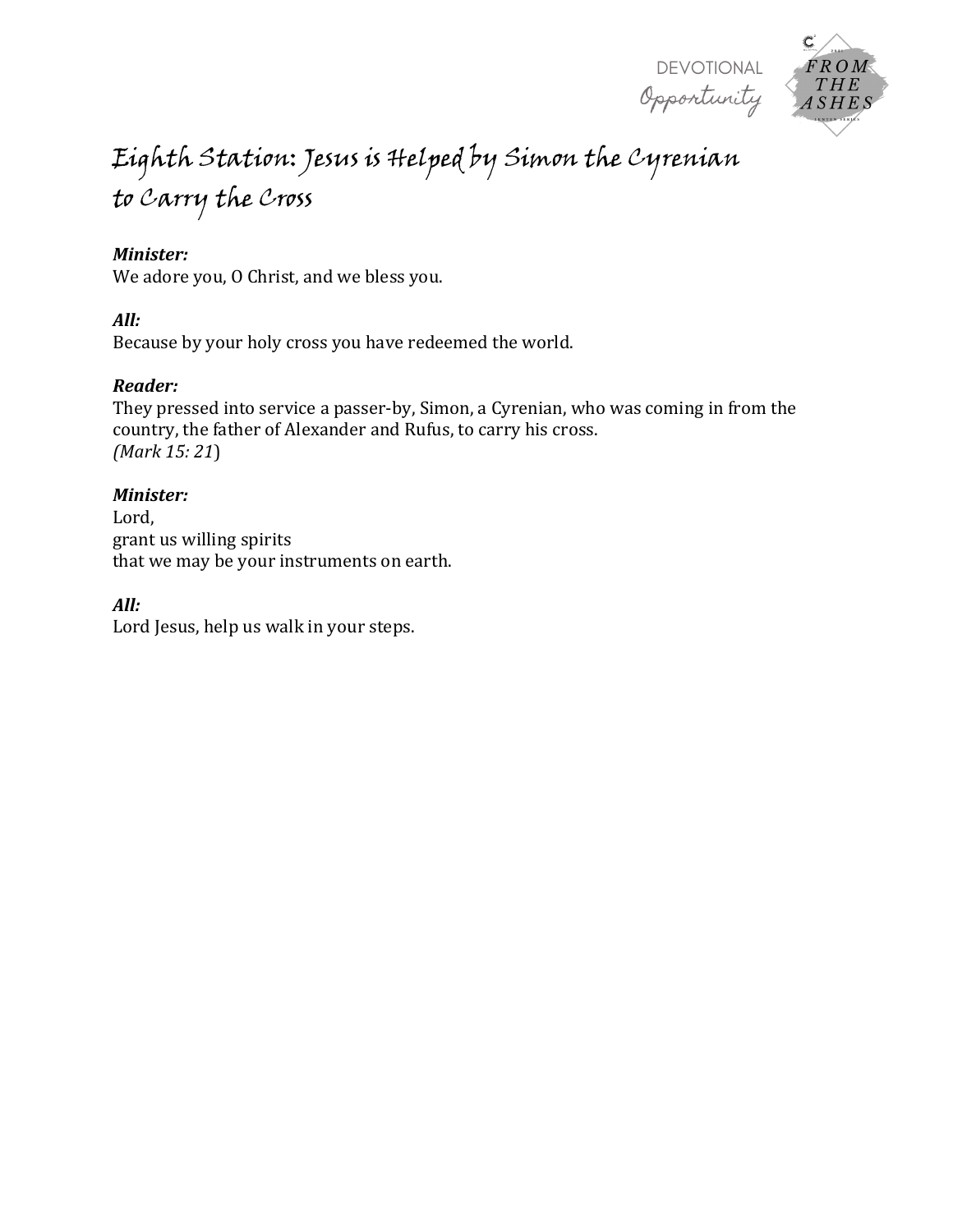

# Eighth Station: Jesus is Helped by Simon the Cyrenian to Carry the Cross

#### *Minister:*

We adore you, O Christ, and we bless you.

#### *All:*

Because by your holy cross you have redeemed the world.

#### *Reader:*

They pressed into service a passer-by, Simon, a Cyrenian, who was coming in from the country, the father of Alexander and Rufus, to carry his cross. *(Mark 15: 21*)

#### *Minister:*

Lord, grant us willing spirits that we may be your instruments on earth.

#### *All:*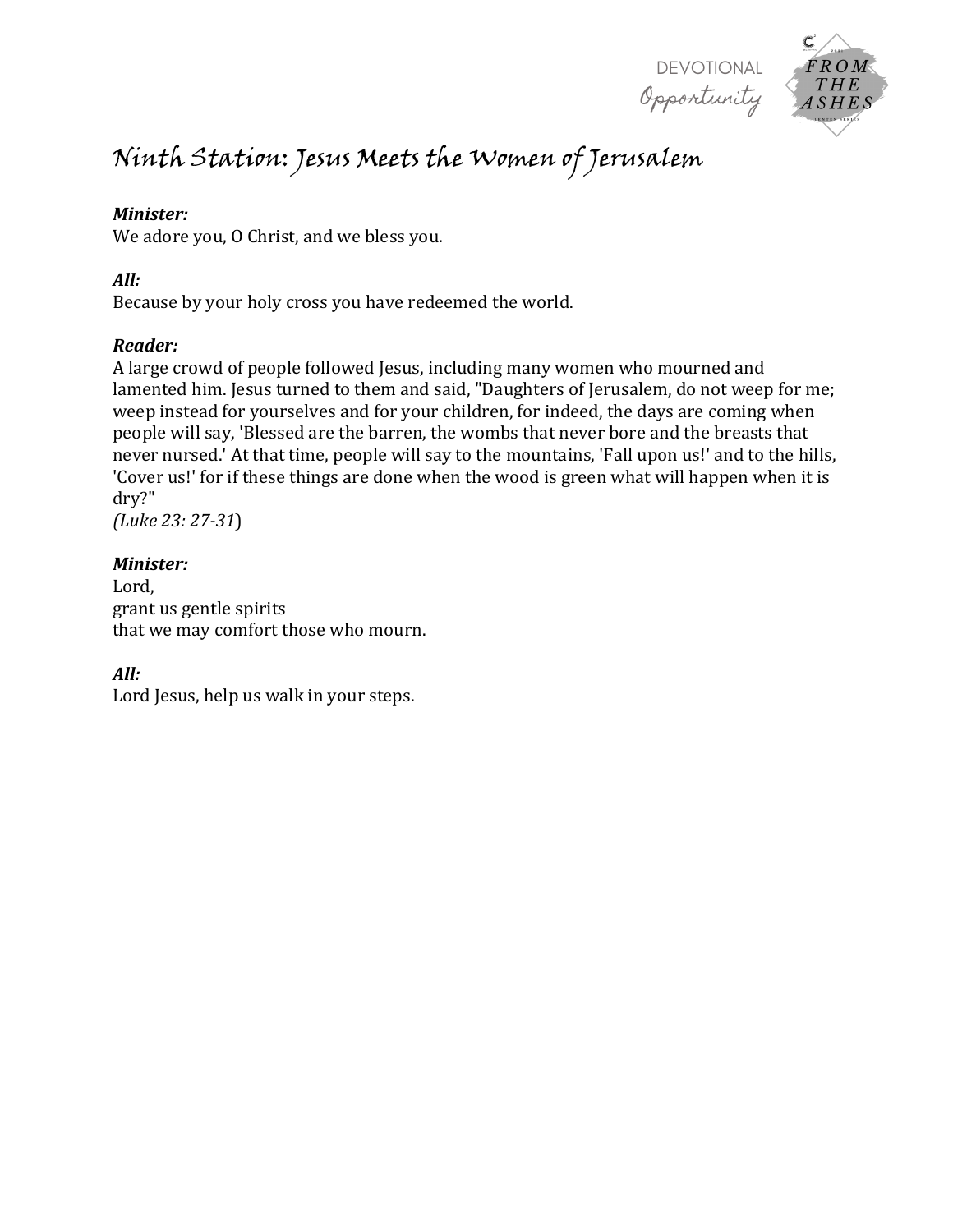

# Ninth Station: Jesus Meets the Women of Jerusalem

#### *Minister:*

We adore you, O Christ, and we bless you.

#### *All:*

Because by your holy cross you have redeemed the world.

#### *Reader:*

A large crowd of people followed Jesus, including many women who mourned and lamented him. Jesus turned to them and said, "Daughters of Jerusalem, do not weep for me; weep instead for yourselves and for your children, for indeed, the days are coming when people will say, 'Blessed are the barren, the wombs that never bore and the breasts that never nursed.' At that time, people will say to the mountains, 'Fall upon us!' and to the hills, 'Cover us!' for if these things are done when the wood is green what will happen when it is dry?"

*(Luke 23: 27-31*)

#### *Minister:*

Lord, grant us gentle spirits that we may comfort those who mourn.

# *All:*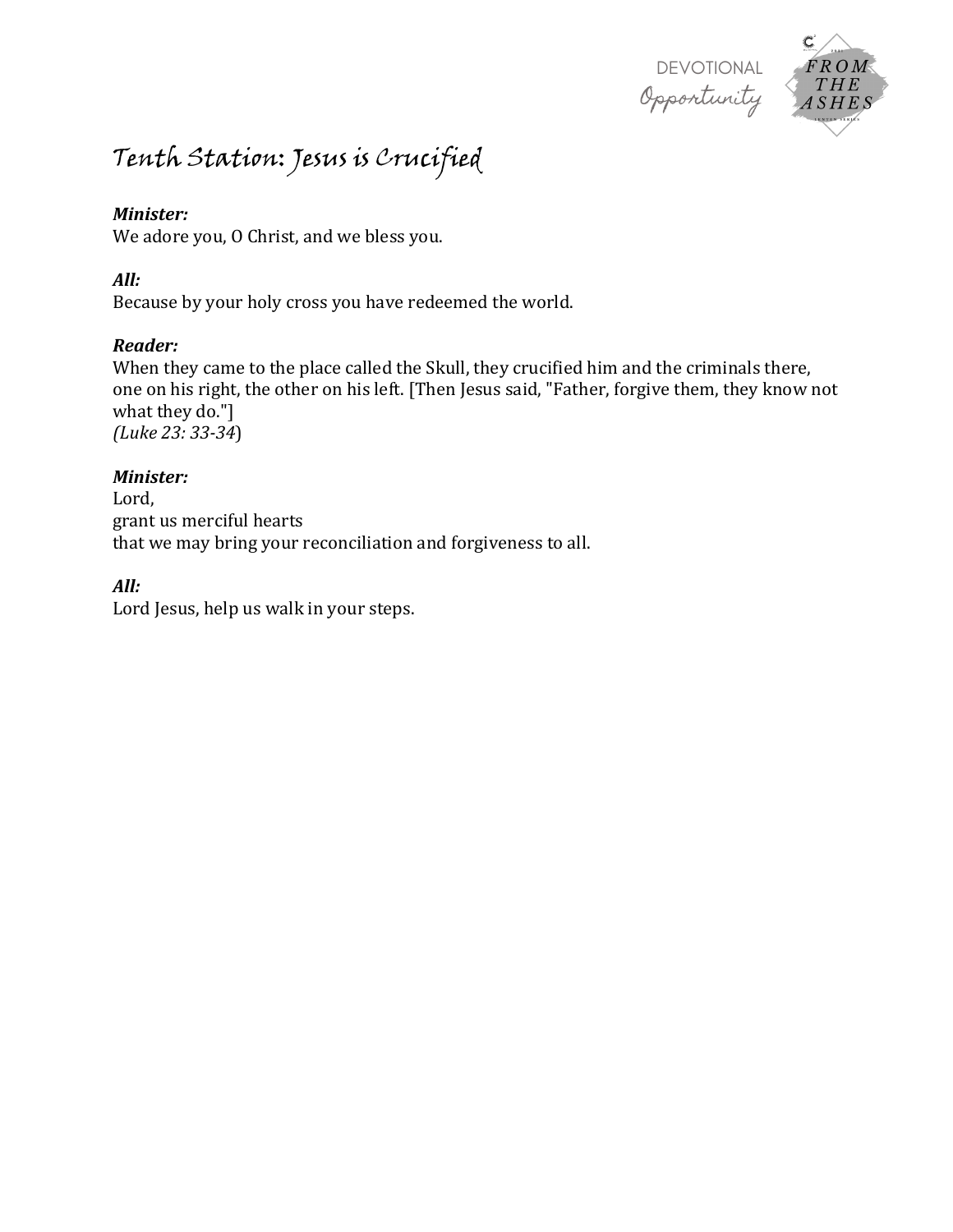

# Tenth Station: Jesus is Crucified

#### *Minister:*

We adore you, O Christ, and we bless you.

#### *All:*

Because by your holy cross you have redeemed the world.

# *Reader:*

When they came to the place called the Skull, they crucified him and the criminals there, one on his right, the other on his left. [Then Jesus said, "Father, forgive them, they know not what they do."] *(Luke 23: 33-34*)

#### *Minister:*

Lord, grant us merciful hearts that we may bring your reconciliation and forgiveness to all.

# *All:*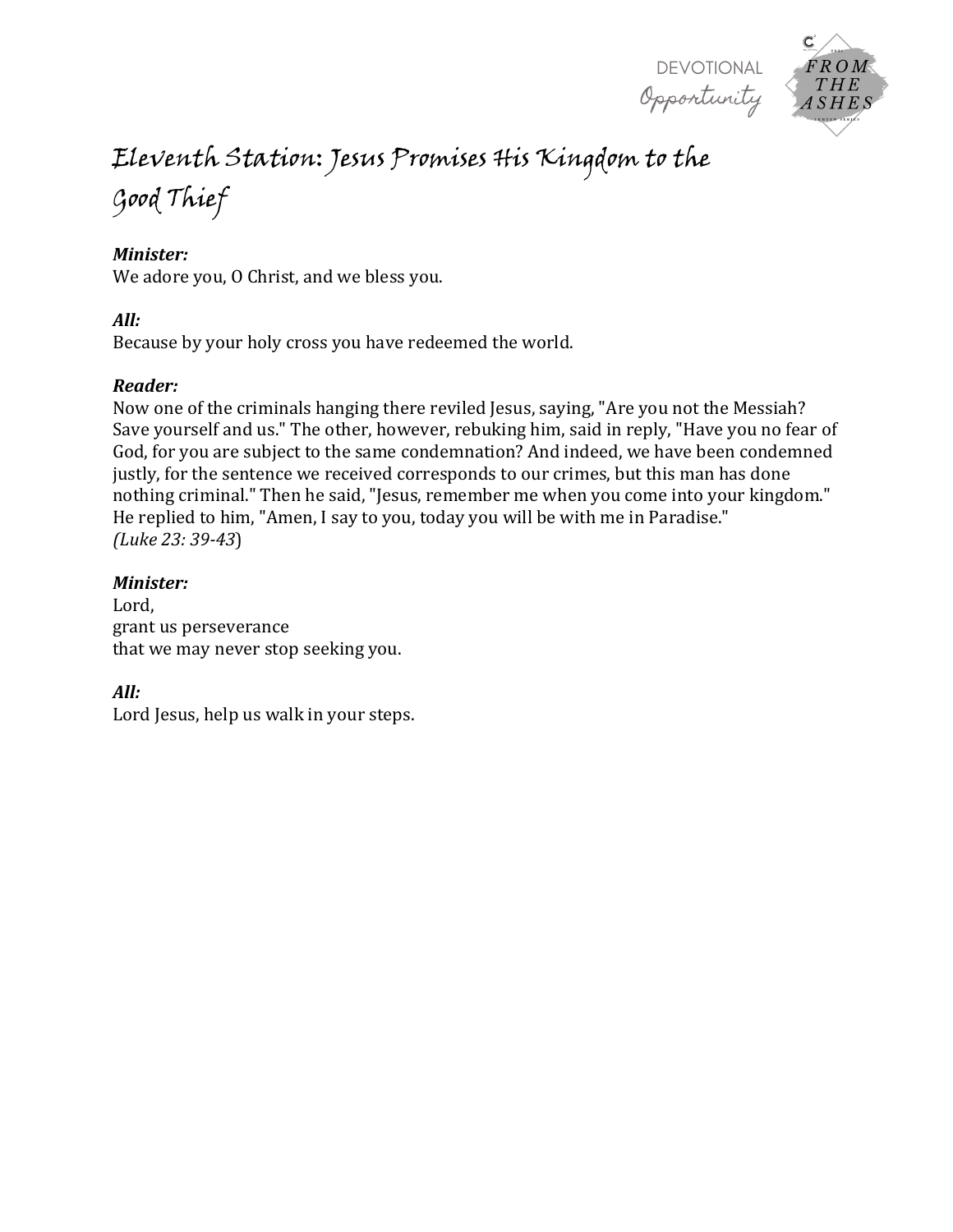



# Eleventh Station: Jesus Promises His Kingdom to the

Good Thief

# *Minister:*

We adore you, O Christ, and we bless you.

# *All:*

Because by your holy cross you have redeemed the world.

# *Reader:*

Now one of the criminals hanging there reviled Jesus, saying, "Are you not the Messiah? Save yourself and us." The other, however, rebuking him, said in reply, "Have you no fear of God, for you are subject to the same condemnation? And indeed, we have been condemned justly, for the sentence we received corresponds to our crimes, but this man has done nothing criminal." Then he said, "Jesus, remember me when you come into your kingdom." He replied to him, "Amen, I say to you, today you will be with me in Paradise." *(Luke 23: 39-43*)

# *Minister:*

Lord, grant us perseverance that we may never stop seeking you.

# *All:*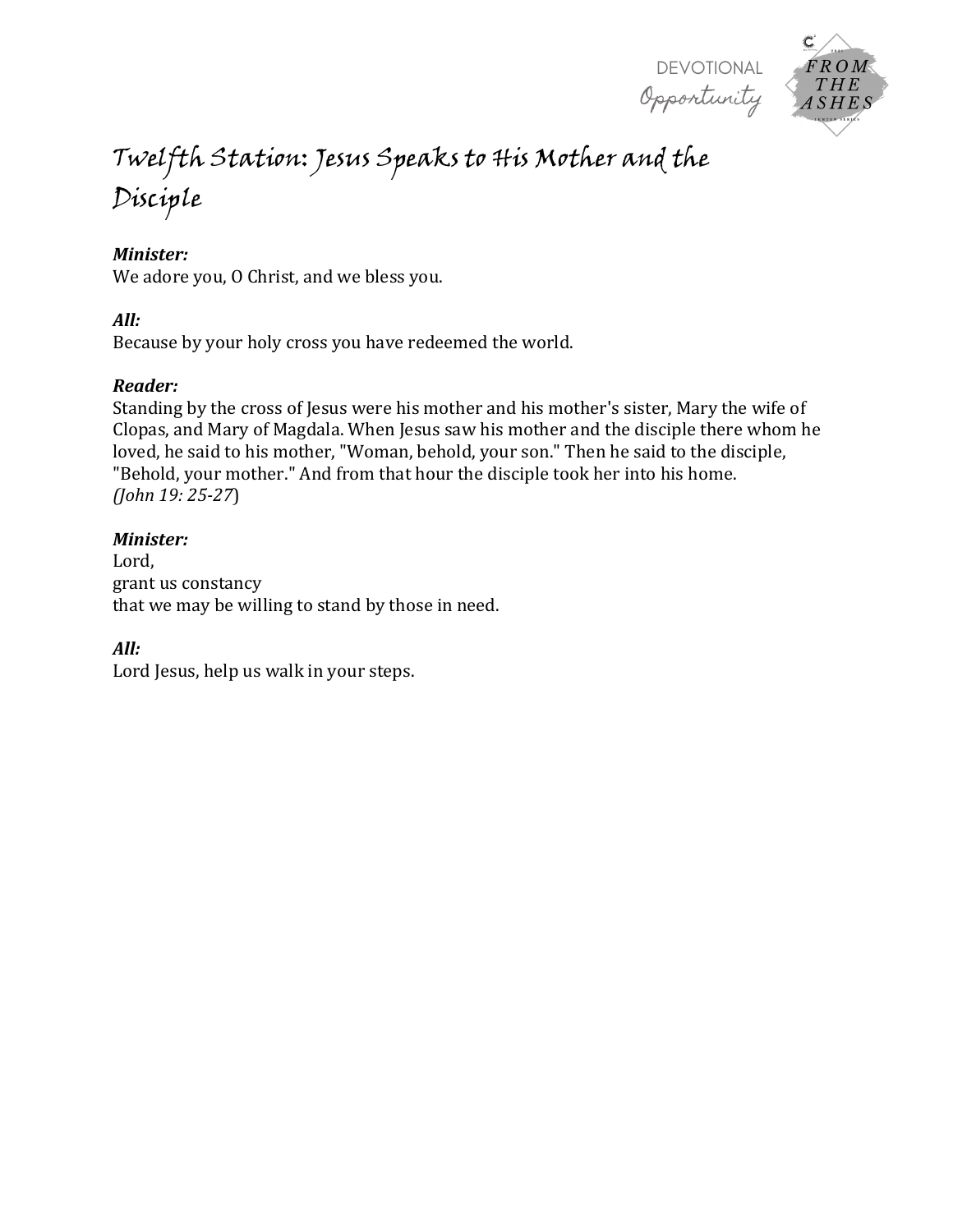



# Twelfth Station: Jesus Speaks to His Mother and the Disciple

#### *Minister:*

We adore you, O Christ, and we bless you.

#### *All:*

Because by your holy cross you have redeemed the world.

#### *Reader:*

Standing by the cross of Jesus were his mother and his mother's sister, Mary the wife of Clopas, and Mary of Magdala. When Jesus saw his mother and the disciple there whom he loved, he said to his mother, "Woman, behold, your son." Then he said to the disciple, "Behold, your mother." And from that hour the disciple took her into his home. *(John 19: 25-27*)

#### *Minister:*

Lord, grant us constancy that we may be willing to stand by those in need.

#### *All:*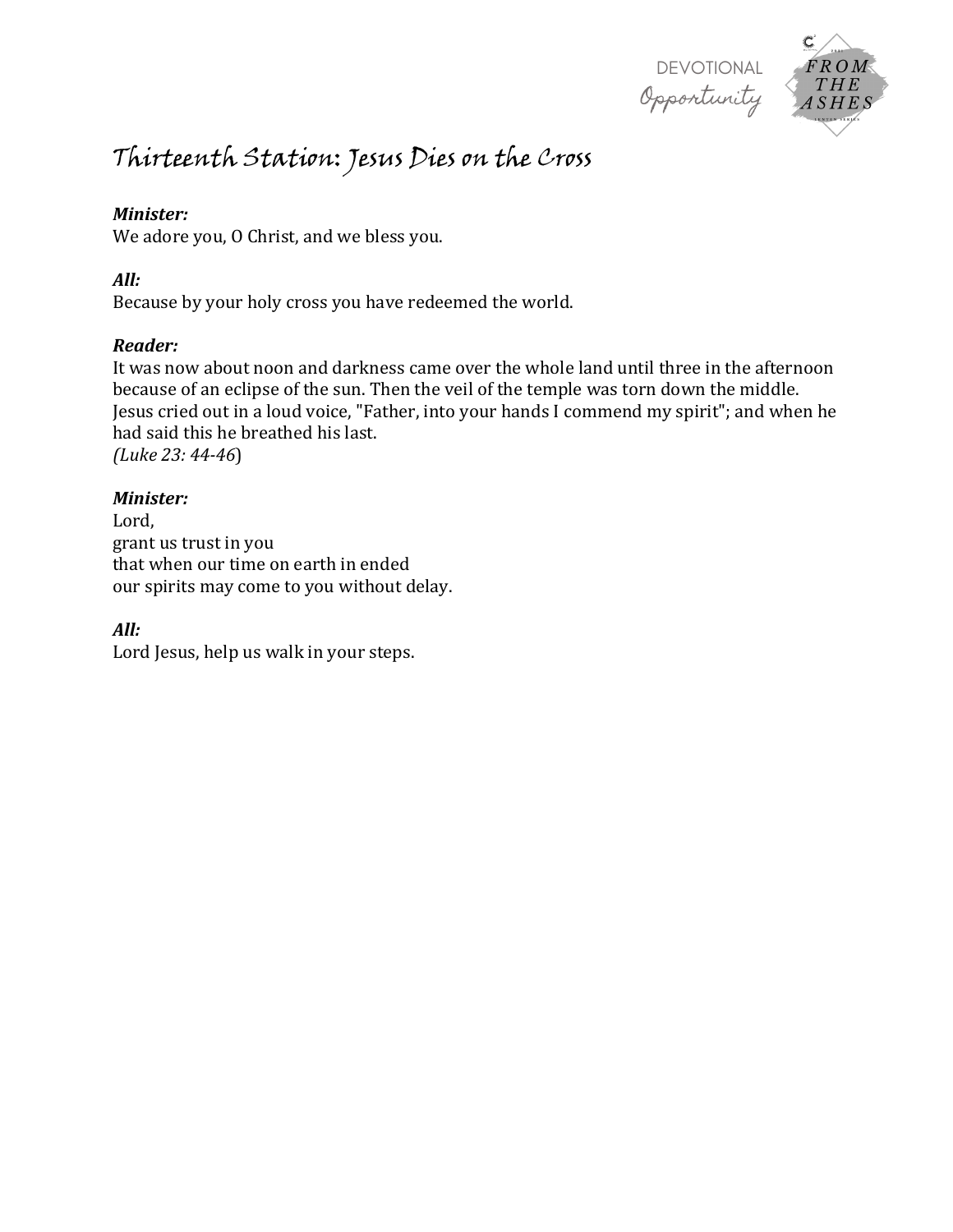

# Thirteenth Station: Jesus Dies on the Cross

#### *Minister:*

We adore you, O Christ, and we bless you.

#### *All:*

Because by your holy cross you have redeemed the world.

# *Reader:*

It was now about noon and darkness came over the whole land until three in the afternoon because of an eclipse of the sun. Then the veil of the temple was torn down the middle. Jesus cried out in a loud voice, "Father, into your hands I commend my spirit"; and when he had said this he breathed his last. *(Luke 23: 44-46*)

#### *Minister:*

Lord, grant us trust in you that when our time on earth in ended our spirits may come to you without delay.

# *All:*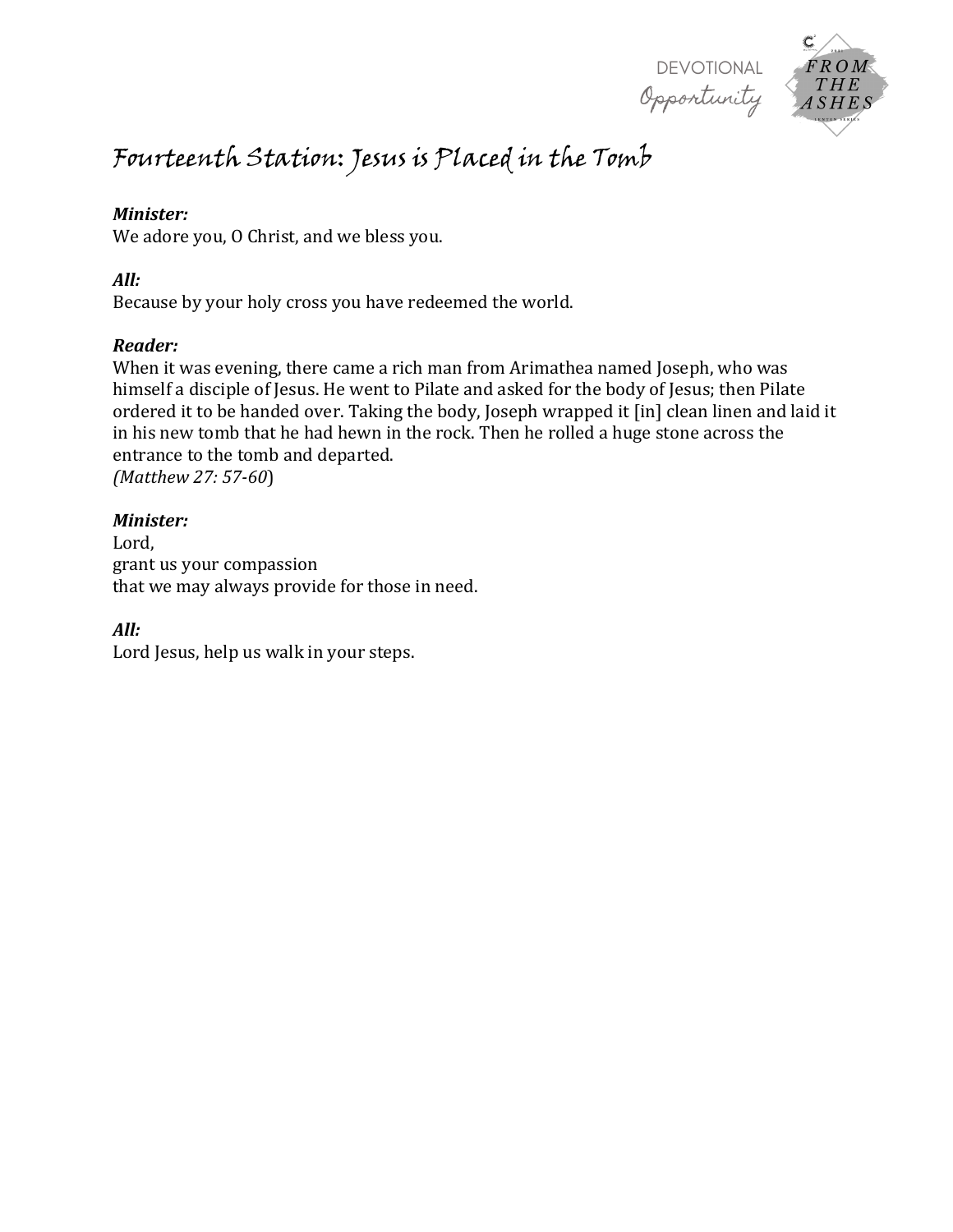



# Fourteenth Station: Jesus is Placed in the Tomb

#### *Minister:*

We adore you, O Christ, and we bless you.

#### *All:*

Because by your holy cross you have redeemed the world.

# *Reader:*

When it was evening, there came a rich man from Arimathea named Joseph, who was himself a disciple of Jesus. He went to Pilate and asked for the body of Jesus; then Pilate ordered it to be handed over. Taking the body, Joseph wrapped it [in] clean linen and laid it in his new tomb that he had hewn in the rock. Then he rolled a huge stone across the entrance to the tomb and departed. *(Matthew 27: 57-60*)

#### *Minister:*

Lord, grant us your compassion that we may always provide for those in need.

# *All:*